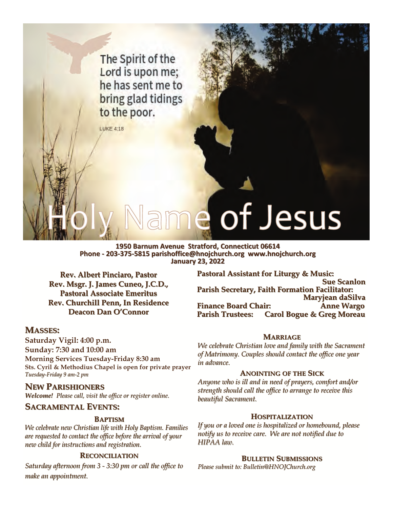The Spirit of the Lord is upon me; he has sent me to bring glad tidings to the poor.

**LUKE 4:18** 

# of Jesus

### **1950 Barnum Avenue Stratford, Connecticut 06614 Phone - 203-375-5815 parishoffice@hnojchurch.org www.hnojchurch.org 5815 parishoffice@hnojchurch.org www.hnojchurch.org January 23, 2022 January 23, 2022**

**Rev. Albert Pinciaro, Pastor** Rev. Msgr. J. James Cuneo, J.C.D., **Pastoral Associate Emeritus Rev. Churchill Penn, In Residence Rev. Churchill Penn, In Residence Deacon Dan O'Connor** 

### **Pastoral Assistant for Pastoral Assistant for Liturgy & Music: Liturgy & Music: Sue Scanlon Sue Scanlon Parish Secretary, Faith Formation Facilitator: Parish Secretary, Faith Formation Facilitator: Maryjean daSilva Maryjean daSilva Finance Board Chair: Finance Board Chair: Anne Wargo Anne Wargo Carol Bogue & Greg Moreau**

### **MASSES:**

**Saturday Vigil: 4:00 p.m. Sunday: 7:30 and 10:00 am Morning Services Tuesday-Friday 8:30 am Sts. Cyril & Methodius Chapel is open for private prayer**  *Tuesday Tuesday-Friday 9 am-2 pm* 

### **NEW PARISHIONERS**

*Welcome! Please call, visit the office or register online.* 

### **SACRAMENTAL EVENTS:**

### **BAPTISM**

*We celebrate new Christian life We celebrate new Christian life with Holy Baptism. Families with Holy Baptism. Families are requested to contact the office before the arrival of your are requested to contact the office before the arrival of your new child for instructions and registration.* 

### **RECONCILIATION**

*Saturday afternoon from 3 - 3:30 pm or call the office to make an appointment. make an appointment.*

### **MARRIAGE ARRIAGE**

*We celebrate Christian love and family with the Sacrament of Matrimony. Couples should contact the office one year of Couples should contact the office year in advance. in advance.* 

### **ANOINTING OF THE SICK**

*Anyone who is ill and in need of prayers, comfort and/or Anyone who is ill and in need of prayers, comfort and/or strength should call the office to arrange to receive this beautiful Sacrament. beautiful Sacrament.* 

### **HOSPITALIZATION**

If you or a loved one is hospitalized or homebound, please *notify us to receive care. We are not notified due to notify us to receive care. We are not notified due to HIPAA law. HIPAA law.* 

### **BULLETIN SUBMISSIONS UBMISSIONS**

*Please submit to: Bulletin@HNOJChurch.org*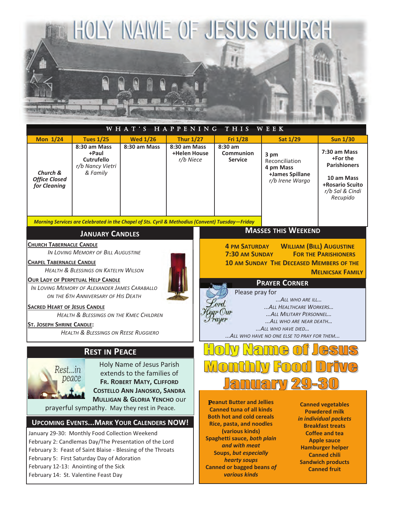

| <b>Mon 1/24</b>                                                         | <b>Tues 1/25</b>                                                                                                                                                                                                                                                          | <b>Wed 1/26</b>                                                                      | <b>Thur 1/27</b>                          | Fri 1/28                                                                                                                                                                                                        |                                                                                                                                                    | <b>Sat 1/29</b>                                                           | <b>Sun 1/30</b>                                                                                                                                                               |  |  |  |  |
|-------------------------------------------------------------------------|---------------------------------------------------------------------------------------------------------------------------------------------------------------------------------------------------------------------------------------------------------------------------|--------------------------------------------------------------------------------------|-------------------------------------------|-----------------------------------------------------------------------------------------------------------------------------------------------------------------------------------------------------------------|----------------------------------------------------------------------------------------------------------------------------------------------------|---------------------------------------------------------------------------|-------------------------------------------------------------------------------------------------------------------------------------------------------------------------------|--|--|--|--|
| Church &<br><b>Office Closed</b><br>for Cleaning                        | 8:30 am Mass<br>+Paul<br><b>Cutrufello</b><br>r/b Nancy Vietri<br>& Family                                                                                                                                                                                                | 8:30 am Mass                                                                         | 8:30 am Mass<br>+Helen House<br>r/b Niece | $8:30$ am<br><b>Communion</b><br><b>Service</b>                                                                                                                                                                 |                                                                                                                                                    | 3 pm<br>Reconciliation<br>4 pm Mass<br>+James Spillane<br>r/b Irene Wargo | 7:30 am Mass<br>+For the<br><b>Parishioners</b><br>10 am Mass<br>+Rosario Scuito<br>r/b Sal & Cindi<br>Recupido                                                               |  |  |  |  |
|                                                                         | Morning Services are Celebrated in the Chapel of Sts. Cyril & Methodius (Convent) Tuesday-Friday                                                                                                                                                                          |                                                                                      |                                           |                                                                                                                                                                                                                 |                                                                                                                                                    |                                                                           |                                                                                                                                                                               |  |  |  |  |
| <b>MASSES THIS WEEKEND</b><br><b>JANUARY CANDLES</b>                    |                                                                                                                                                                                                                                                                           |                                                                                      |                                           |                                                                                                                                                                                                                 |                                                                                                                                                    |                                                                           |                                                                                                                                                                               |  |  |  |  |
| <b>CHURCH TABERNACLE CANDLE</b><br><b>CHAPEL TABERNACLE CANDLE</b>      | IN LOVING MEMORY OF BILL AUGUSTINE<br><b>HEALTH &amp; BLESSINGS ON KATELYN WILSON</b><br>OUR LADY OF PERPETUAL HELP CANDLE                                                                                                                                                |                                                                                      |                                           | <b>WILLIAM (BILL) AUGUSTINE</b><br><b>4 PM SATURDAY</b><br>7:30 AM SUNDAY<br><b>FOR THE PARISHIONERS</b><br><b>10 AM SUNDAY THE DECEASED MEMBERS OF THE</b><br><b>MELNICSAK FAMILY</b>                          |                                                                                                                                                    |                                                                           |                                                                                                                                                                               |  |  |  |  |
|                                                                         | IN LOVING MEMORY OF ALEXANDER JAMES CARABALLO                                                                                                                                                                                                                             |                                                                                      |                                           | <b>PRAYER CORNER</b>                                                                                                                                                                                            |                                                                                                                                                    |                                                                           |                                                                                                                                                                               |  |  |  |  |
| <b>SACRED HEART OF JESUS CANDLE</b><br><b>ST. JOSEPH SHRINE CANDLE:</b> | ON THE 6TH ANNIVERSARY OF HIS DEATH<br><b>HEALTH &amp; BLESSINGS ON THE KMEC CHILDREN</b><br><b>HEALTH &amp; BLESSINGS ON REESE RUGGIERO</b>                                                                                                                              |                                                                                      |                                           | Please pray for<br>ALL WHO ARE ILL<br>ord.<br>ALL HEALTHCARE WORKERS<br>ear (Our<br>ALL MILITARY PERSONNEL<br>rayer<br>ALL WHO ARE NEAR DEATH<br>ALL WHO HAVE DIED<br>ALL WHO HAVE NO ONE ELSE TO PRAY FOR THEM |                                                                                                                                                    |                                                                           |                                                                                                                                                                               |  |  |  |  |
|                                                                         | <b>REST IN PEACE</b>                                                                                                                                                                                                                                                      |                                                                                      |                                           |                                                                                                                                                                                                                 |                                                                                                                                                    |                                                                           |                                                                                                                                                                               |  |  |  |  |
| Rest…in                                                                 | peace                                                                                                                                                                                                                                                                     | Holy Name of Jesus Parish<br>extends to the families of<br>FR. ROBERT MATY, CLIFFORD |                                           | $\mathcal{P}$<br>$\mathcal{L}$<br>=73<br>UCH                                                                                                                                                                    |                                                                                                                                                    |                                                                           |                                                                                                                                                                               |  |  |  |  |
|                                                                         | prayerful sympathy. May they rest in Peace.                                                                                                                                                                                                                               | <b>COSTELLO ANN JANOSKO, SANDRA</b><br><b>MULLIGAN &amp; GLORIA YENCHO OUT</b>       |                                           | <b>Peanut Butter and Jellies</b><br><b>Canned vegetables</b><br><b>Canned tuna of all kinds</b><br><b>Powdered milk</b><br><b>Both hot and cold cereals</b>                                                     |                                                                                                                                                    |                                                                           |                                                                                                                                                                               |  |  |  |  |
|                                                                         | <b>UPCOMING EVENTS MARK YOUR CALENDERS NOW!</b><br>January 29-30: Monthly Food Collection Weekend<br>February 2: Candlemas Day/The Presentation of the Lord<br>February 3: Feast of Saint Blaise - Blessing of the Throats<br>February 5: First Saturday Day of Adoration |                                                                                      |                                           |                                                                                                                                                                                                                 | <b>Rice, pasta, and noodles</b><br>(various kinds)<br>Spaghetti sauce, both plain<br>and with meat<br><b>Soups, but especially</b><br>hearty soups |                                                                           | in individual packets<br><b>Breakfast treats</b><br><b>Coffee and tea</b><br><b>Apple sauce</b><br><b>Hamburger helper</b><br><b>Canned chili</b><br><b>Sandwich products</b> |  |  |  |  |

February 12-13: Anointing of the Sick February 14: St. Valentine Feast Day

**Canned or bagged beans** *of various kinds* 

**Canned fruit**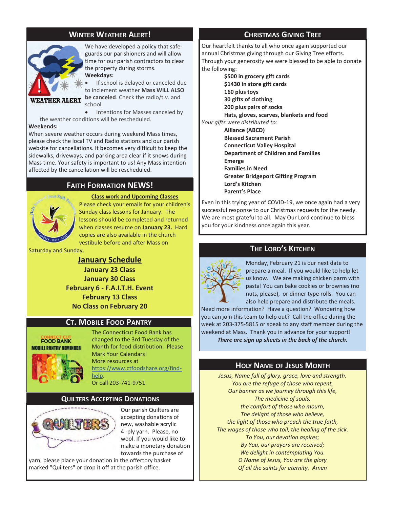### **WINTER WEATHER ALERT!** A **CHRISTMAS GIVING TREE**



We have developed a policy that safeguards our parishioners and will allow time for our parish contractors to clear the property during storms. **Weekdays:** 

If school is delayed or canceled due

### **WEATHER ALERT**

-

to inclement weather **Mass WILL ALSO be canceled**. Check the radio/t.v. and school.

- Intentions for Masses canceled by the weather conditions will be rescheduled.

### **Weekends:**

When severe weather occurs during weekend Mass times, please check the local TV and Radio stations and our parish website for cancellations. It becomes very difficult to keep the sidewalks, driveways, and parking area clear if it snows during Mass time. Your safety is important to us! Any Mass intention affected by the cancellation will be rescheduled.

### **FAITH FORMATION NEWS!**



**Class work and Upcoming Classes** Please check your emails for your children's Sunday class lessons for January. The lessons should be completed and returned when classes resume on **January 23.** Hard copies are also available in the church vestibule before and after Mass on

Saturday and Sunday.

**January Schedule January 23 Class January 30 Class February 6 - F.A.I.T.H. Event February 13 Class No Class on February 20**

### **CT. MOBILE FOOD PANTRY**

**FOOD BANK MORILE PANTRY REMINDER** 



The Connecticut Food Bank has changed to the 3rd Tuesday of the Month for food distribution. Please Mark Your Calendars! More resources at https://www.ctfoodshare.org/findhelp.

Or call 203-741-9751.

### **QUILTERS ACCEPTING DONATIONS**



Our parish Quilters are accepting donations of new, washable acrylic 4 -ply yarn. Please, no wool. If you would like to make a monetary donation towards the purchase of

yarn, please place your donation in the offertory basket marked "Quilters" or drop it off at the parish office.

Our heartfelt thanks to all who once again supported our annual Christmas giving through our Giving Tree efforts. Through your generosity we were blessed to be able to donate the following:

 **\$500 in grocery gift cards \$1430 in store gift cards 160 plus toys 30 gifts of clothing 200 plus pairs of socks Hats, gloves, scarves, blankets and food**  *Your gifts were distributed to:*   **Alliance (ABCD) Blessed Sacrament Parish Connecticut Valley Hospital Department of Children and Families Emerge Families in Need Greater Bridgeport Gifting Program Lord's Kitchen Parent's Place** 

Even in this trying year of COVID-19, we once again had a very successful response to our Christmas requests for the needy. We are most grateful to all. May Our Lord continue to bless you for your kindness once again this year.

### **THE LORD'S KITCHEN**



Monday, February 21 is our next date to prepare a meal. If you would like to help let us know. We are making chicken parm with pasta! You can bake cookies or brownies (no nuts, please), or dinner type rolls. You can also help prepare and distribute the meals.

Need more information? Have a question? Wondering how you can join this team to help out? Call the office during the week at 203-375-5815 or speak to any staff member during the weekend at Mass. Thank you in advance for your support! *There are sign up sheets in the back of the church.* 

### **HOLY NAME OF JESUS MONTH**

*Jesus, Name full of glory, grace, love and strength. You are the refuge of those who repent, Our banner as we journey through this life, The medicine of souls, the comfort of those who mourn, The delight of those who believe, the light of those who preach the true faith, The wages of those who toil, the healing of the sick. To You, our devotion aspires; By You, our prayers are received; We delight in contemplating You. O Name of Jesus, You are the glory Of all the saints for eternity. Amen*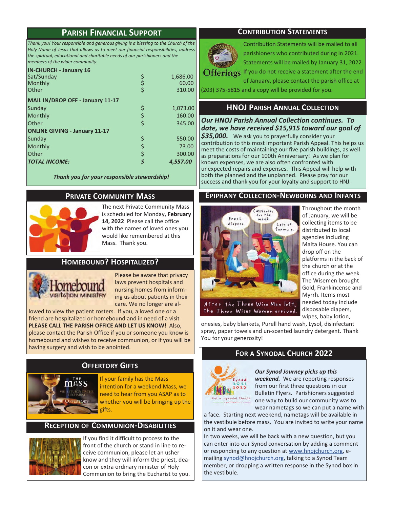### **PARISH FINANCIAL SUPPORT**

*Thank you! Your responsible and generous giving is a blessing to the Church of the Holy Name of Jesus that allows us to meet our financial responsibilities, address the spiritual, educational and charitable needs of our parishioners and the members of the wider community.* 

### **IN-CHURCH - January 16**

| $111$ Citon Cito and Suitually 20<br>Sat/Sunday<br>Monthly<br><b>Other</b> |   | 1,686.00<br>60.00<br>310.00 |
|----------------------------------------------------------------------------|---|-----------------------------|
| MAIL IN/DROP OFF - January 11-17                                           |   |                             |
| Sunday                                                                     | S | 1,073.00                    |
| Monthly                                                                    |   | 160.00                      |
| <b>Other</b>                                                               |   | 345.00                      |
| <b>ONLINE GIVING - January 11-17</b>                                       |   |                             |
| Sunday                                                                     |   | 550.00                      |
| Monthly                                                                    |   | 73.00                       |
| <b>Other</b>                                                               |   | 300.00                      |
| <b>TOTAL INCOME:</b>                                                       |   | 4,557.00                    |

*Thank you for your responsible stewardship!*

### **PRIVATE COMMUNITY MASS**



The next Private Community Mass is scheduled for Monday, **February 14, 2022** Please call the office with the names of loved ones you would like remembered at this Mass. Thank you.

### **HOMEBOUND? HOSPITALIZED?**



Please be aware that privacy laws prevent hospitals and nursing homes from informing us about patients in their care. We no longer are al-

lowed to view the patient rosters. If you, a loved one or a friend are hospitalized or homebound and in need of a visit **PLEASE CALL THE PARISH OFFICE AND LET US KNOW!** Also, please contact the Parish Office if you or someone you know is homebound and wishes to receive communion, or if you will be having surgery and wish to be anointed.

### **OFFERTORY GIFTS**



If your family has the Mass

intention for a weekend Mass, we need to hear from you ASAP as to whether you will be bringing up the gifts.

### **RECEPTION OF COMMUNION-DISABILITIES**



If you find it difficult to process to the front of the church or stand in line to receive communion, please let an usher know and they will inform the priest, deacon or extra ordinary minister of Holy Communion to bring the Eucharist to you.

### **CONTRIBUTION STATEMENTS**



Contribution Statements will be mailed to all parishioners who contributed during in 2021. Statements will be mailed by January 31, 2022.

 $Offerrings$  If you do not receive a statement after the end

of January, please contact the parish office at (203) 375-5815 and a copy will be provided for you.

### **HNOJ PARISH ANNUAL COLLECTION**

*Our HNOJ Parish Annual Collection continues. To date, we have received \$15,915 toward our goal of \$35,000.* We ask you to prayerfully consider your contribution to this most important Parish Appeal. This helps us meet the costs of maintaining our five parish buildings, as well as preparations for our 100th Anniversary! As we plan for known expenses, we are also often confronted with unexpected repairs and expenses. This Appeal will help with both the planned and the unplanned. Please pray for our success and thank you for your loyalty and support to HNJ.

### **EPIPHANY COLLECTION-NEWBORNS AND INFANTS**



Throughout the month of January, we will be collecting items to be distributed to local agencies including Malta House. You can drop off on the platforms in the back of the church or at the office during the week. The Wisemen brought Gold, Frankincense and Myrrh. Items most needed today include disposable diapers, wipes, baby lotion,

onesies, baby blankets, Purell hand wash, Lysol, disinfectant spray, paper towels and un-scented laundry detergent. Thank You for your generosity!

### **FOR A SYNODAL CHURCH 2022**



### *Our Synod Journey picks up this*

*weekend.* We are reporting responses from our first three questions in our Bulletin Flyers. Parishioners suggested one way to build our community was to wear nametags so we can put a name with

a face. Starting next weekend, nametags will be available in the vestibule before mass. You are invited to write your name on it and wear one.

In two weeks, we will be back with a new question, but you can enter into our Synod conversation by adding a comment or responding to any question at www.hnojchurch.org, emailing synod@hnojchurch.org, talking to a Synod Team member, or dropping a written response in the Synod box in the vestibule.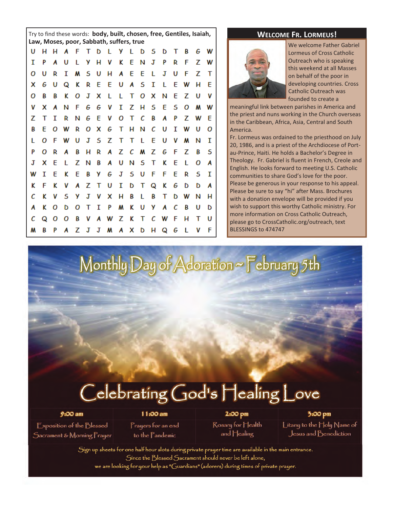Try to find these words: body, built, chosen, free, Gentiles, Isaiah, WELCOME FR. LORMEUS! **Law, Moses, poor, Sabbath, suffers, true example and all convertse to the Western Cabriel Cabriel Cabriel** 

| U |              |     | H H A F T D L Y L D S D T B |     |  |  |                        |  |  |  |   |     |         |     | G W      |
|---|--------------|-----|-----------------------------|-----|--|--|------------------------|--|--|--|---|-----|---------|-----|----------|
| I | P            |     | A U                         |     |  |  | L Y H V K E N J P      |  |  |  |   | R   | F.      | z   | <b>W</b> |
| 0 | U            | R   | I                           |     |  |  | <b>M S U H A E E L</b> |  |  |  | J | U   | F       | z   | Т        |
| x | G            | υ   | Q K R E E U A S I L E       |     |  |  |                        |  |  |  |   |     | W H     |     | E        |
| ο | В            | В   | K                           |     |  |  | <b>OJXLLTOX</b>        |  |  |  |   |     | N E Z U |     | <b>V</b> |
| V | x            | Α   | N                           |     |  |  | F G G V I Z H S E S O  |  |  |  |   |     |         | M   | W        |
| z | $\mathsf{T}$ | I   | R.                          |     |  |  | N G E V O T C B        |  |  |  |   | A P |         | Z W | -E       |
| В | E            |     | O W R O X G T H N C U       |     |  |  |                        |  |  |  |   |     | I W U   |     | O        |
| L | Ο            |     | F W U                       |     |  |  | J S Z T T L E U V M    |  |  |  |   |     |         | N   | п        |
| P | ο            | - R | A                           |     |  |  | B H R A Z C M Z G F Z  |  |  |  |   |     |         | В   | -5       |
| J | x            | - E |                             |     |  |  | L Z N B A U N S T K E  |  |  |  |   |     | - L     | ο   | A        |
| W | 1            | E   | K                           | - E |  |  | <b>BYGJSUFFE</b>       |  |  |  |   |     | R       | s   | п        |
| ĸ | F            | ĸ   | V                           |     |  |  | A Z T U I D T Q K G    |  |  |  |   |     | D       | D   | A        |
| с | ĸ            | V   | - 5                         |     |  |  | <b>Y J V X H B L B</b> |  |  |  |   |     | T D W   | N   | н        |
| A | ĸ            | ο   | D                           |     |  |  | O T I P M K U Y A C    |  |  |  |   |     | B       | U   | D        |
| с | Q            |     | O O B V A W Z K T C W F     |     |  |  |                        |  |  |  |   |     | н       | Т   | U        |
| м | B            | P   |                             |     |  |  | A Z J J M A X D H Q G  |  |  |  |   |     | - L     | V   | F        |



Lormeus of Cross Catholic Outreach who is speaking this weekend at all Masses on behalf of the poor in developing countries. Cross Catholic Outreach was founded to create a

meaningful link between parishes in America and the priest and nuns working in the Church overseas in the Caribbean, Africa, Asia, Central and South America.

Fr. Lormeus was ordained to the priesthood on July 20, 1986, and is a priest of the Archdiocese of Portau-Prince, Haiti. He holds a Bachelor's Degree in Theology. Fr. Gabriel is fluent in French, Creole and English. He looks forward to meeting U.S. Catholic communities to share God's love for the poor. Please be generous in your response to his appeal. Please be sure to say "hi" after Mass. Brochures with a donation envelope will be provided if you wish to support this worthy Catholic ministry. For more information on Cross Catholic Outreach, please go to CrossCatholic.org/outreach, text BLESSINGS to 474747

Monthly Day of Adoration ~ February 5th

## Celebrating God's Healing Love

**Exposition of the Blessed** Sacrament & Morning Prayer

 $9:00 am$ 

11:00 am Prayers for an end to the Pandemic

2:00 pm Rosary for Health and Healing

3:00 pm Litany to the Holy Name of Jesus and Benediction

Sign up sheets for one half hour slots during private prayer time are available in the main entrance. Since the Blessed Sacrament should never be left alone, we are looking for your help as "Guardians" (adorers) during times of private prayer.